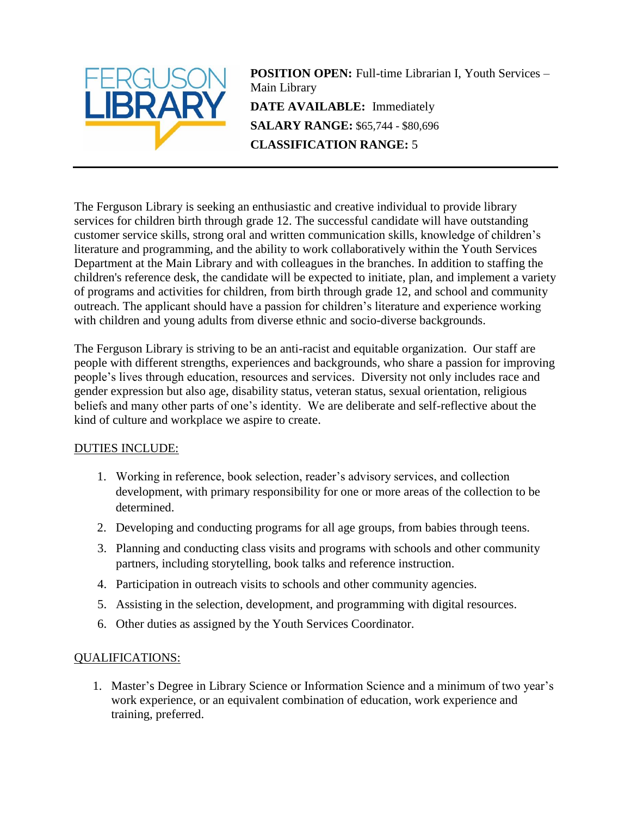

**POSITION OPEN:** Full-time Librarian I, Youth Services – Main Library **DATE AVAILABLE:** Immediately **SALARY RANGE:** \$65,744 - \$80,696 **CLASSIFICATION RANGE:** 5

The Ferguson Library is seeking an enthusiastic and creative individual to provide library services for children birth through grade 12. The successful candidate will have outstanding customer service skills, strong oral and written communication skills, knowledge of children's literature and programming, and the ability to work collaboratively within the Youth Services Department at the Main Library and with colleagues in the branches. In addition to staffing the children's reference desk, the candidate will be expected to initiate, plan, and implement a variety of programs and activities for children, from birth through grade 12, and school and community outreach. The applicant should have a passion for children's literature and experience working with children and young adults from diverse ethnic and socio-diverse backgrounds.

The Ferguson Library is striving to be an anti-racist and equitable organization. Our staff are people with different strengths, experiences and backgrounds, who share a passion for improving people's lives through education, resources and services. Diversity not only includes race and gender expression but also age, disability status, veteran status, sexual orientation, religious beliefs and many other parts of one's identity. We are deliberate and self-reflective about the kind of culture and workplace we aspire to create.

## DUTIES INCLUDE:

- 1. Working in reference, book selection, reader's advisory services, and collection development, with primary responsibility for one or more areas of the collection to be determined.
- 2. Developing and conducting programs for all age groups, from babies through teens.
- 3. Planning and conducting class visits and programs with schools and other community partners, including storytelling, book talks and reference instruction.
- 4. Participation in outreach visits to schools and other community agencies.
- 5. Assisting in the selection, development, and programming with digital resources.
- 6. Other duties as assigned by the Youth Services Coordinator.

## QUALIFICATIONS:

1. Master's Degree in Library Science or Information Science and a minimum of two year's work experience, or an equivalent combination of education, work experience and training, preferred.